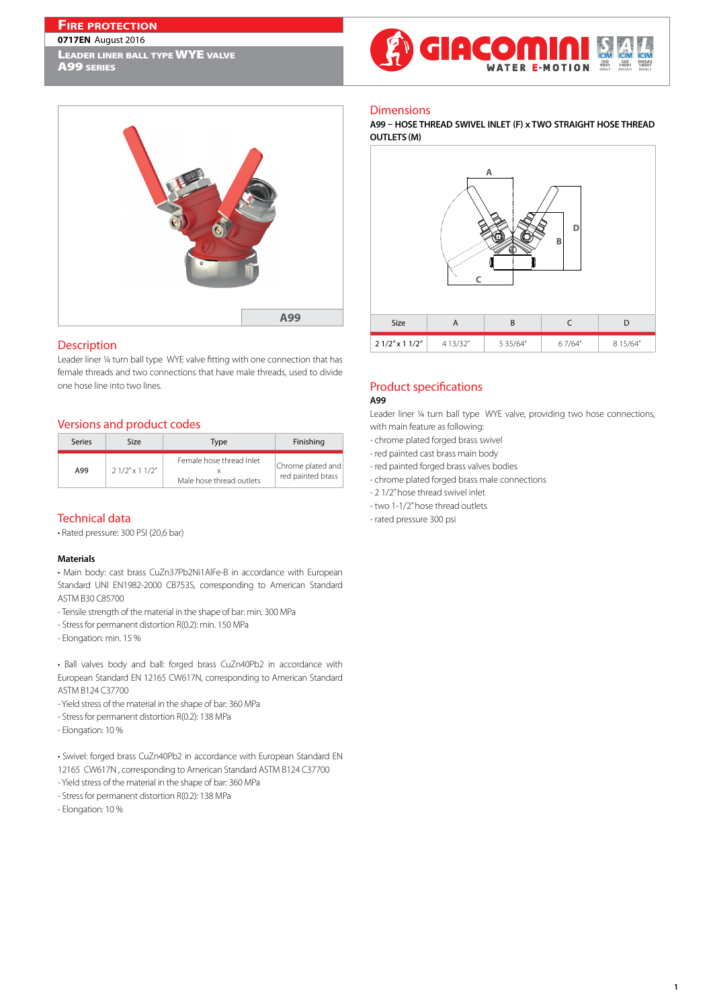# **Fire protection**

#### **0717EN** August 2016

LEADER LINER BALL TYPE WYE VALVE





## Description

Leader liner ¼ turn ball type WYE valve fitting with one connection that has female threads and two connections that have male threads, used to divide one hose line into two lines.

# Versions and product codes

| Series | Size                 | Type                                                 | Finishing                              |
|--------|----------------------|------------------------------------------------------|----------------------------------------|
| A99    | $21/2''$ x 1 $1/2''$ | Female hose thread inlet<br>Male hose thread outlets | Chrome plated and<br>red painted brass |

# Technical data

• Rated pressure: 300 PSI (20,6 bar)

#### **Materials**

• Main body: cast brass CuZn37Pb2Ni1AlFe-B in accordance with European Standard UNI EN1982-2000 CB753S, corresponding to American Standard ASTM B30 C85700

- Tensile strength of the material in the shape of bar: min. 300 MPa
- Stress for permanent distortion R(0.2): min. 150 MPa
- Elongation: min. 15 %

• Ball valves body and ball: forged brass CuZn40Pb2 in accordance with European Standard EN 12165 CW617N, corresponding to American Standard ASTM B124 C37700

- Yield stress of the material in the shape of bar: 360 MPa
- Stress for permanent distortion R(0.2): 138 MPa
- Elongation: 10 %
- Swivel: forged brass CuZn40Pb2 in accordance with European Standard EN
- 12165 CW617N , corresponding to American Standard ASTM B124 C37700
- Yield stress of the material in the shape of bar: 360 MPa
- Stress for permanent distortion R(0.2): 138 MPa
- Elongation: 10 %

## **Dimensions**

## **A99 – HOSE THREAD SWIVEL INLET (F) x TWO STRAIGHT HOSE THREAD OUTLETS (M)**



### Product specifications **A99**

Leader liner ¼ turn ball type WYE valve, providing two hose connections, with main feature as following:

- chrome plated forged brass swivel
- red painted cast brass main body
- red painted forged brass valves bodies
- chrome plated forged brass male connections
- 2 1/2" hose thread swivel inlet
- two 1-1/2" hose thread outlets
- rated pressure 300 psi